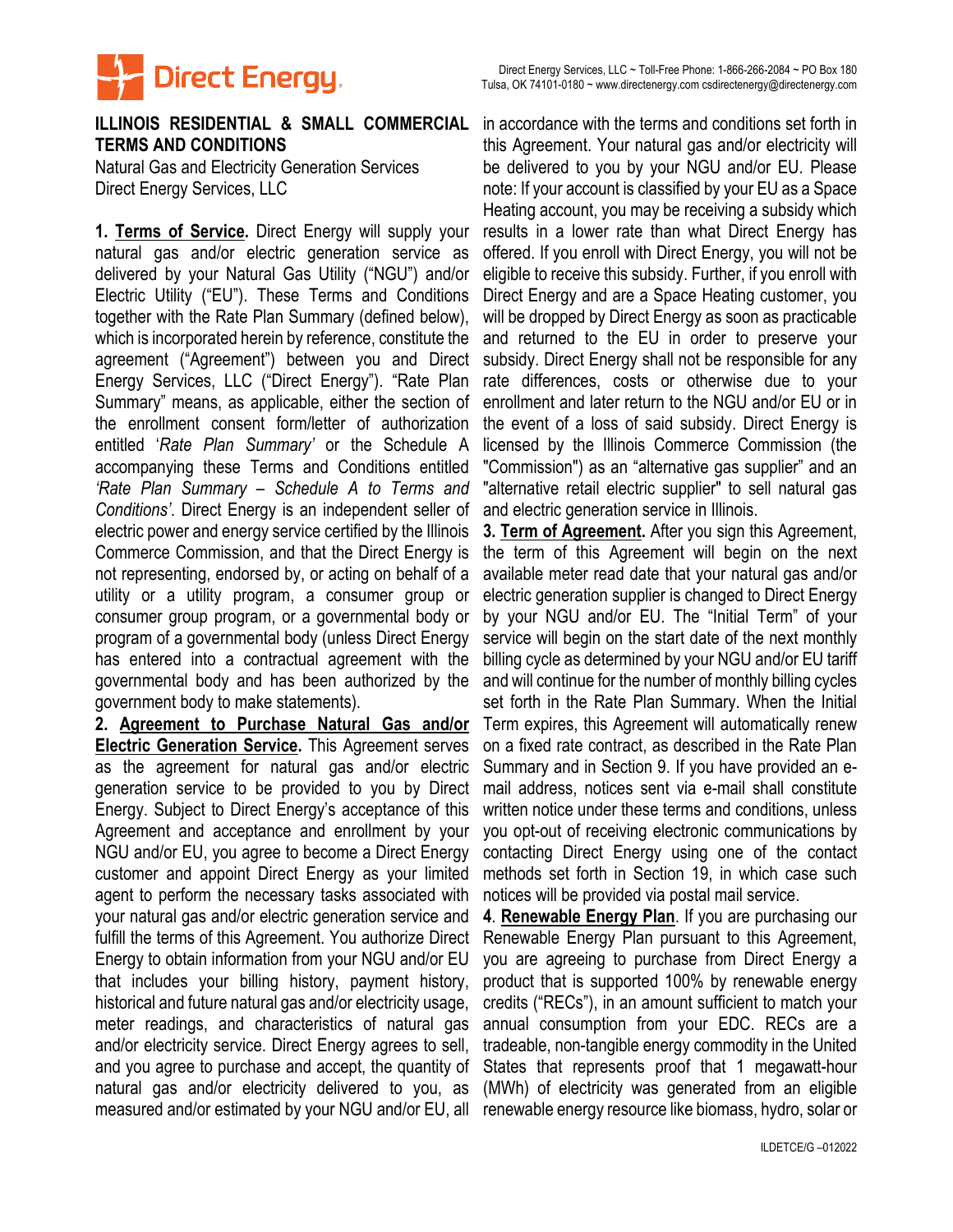

## **TERMS AND CONDITIONS**

Natural Gas and Electricity Generation Services Direct Energy Services, LLC

**1. Terms of Service.** Direct Energy will supply your natural gas and/or electric generation service as delivered by your Natural Gas Utility ("NGU") and/or Electric Utility ("EU"). These Terms and Conditions together with the Rate Plan Summary (defined below), which is incorporated herein by reference, constitute the agreement ("Agreement") between you and Direct Energy Services, LLC ("Direct Energy"). "Rate Plan Summary" means, as applicable, either the section of the enrollment consent form/letter of authorization entitled '*Rate Plan Summary'* or the Schedule A accompanying these Terms and Conditions entitled *'Rate Plan Summary – Schedule A to Terms and Conditions'*. Direct Energy is an independent seller of electric power and energy service certified by the Illinois Commerce Commission, and that the Direct Energy is not representing, endorsed by, or acting on behalf of a utility or a utility program, a consumer group or consumer group program, or a governmental body or program of a governmental body (unless Direct Energy has entered into a contractual agreement with the governmental body and has been authorized by the government body to make statements).

**2. Agreement to Purchase Natural Gas and/or Electric Generation Service.** This Agreement serves as the agreement for natural gas and/or electric generation service to be provided to you by Direct Energy. Subject to Direct Energy's acceptance of this Agreement and acceptance and enrollment by your NGU and/or EU, you agree to become a Direct Energy customer and appoint Direct Energy as your limited agent to perform the necessary tasks associated with your natural gas and/or electric generation service and fulfill the terms of this Agreement. You authorize Direct Energy to obtain information from your NGU and/or EU that includes your billing history, payment history, historical and future natural gas and/or electricity usage, meter readings, and characteristics of natural gas and/or electricity service. Direct Energy agrees to sell, and you agree to purchase and accept, the quantity of natural gas and/or electricity delivered to you, as measured and/or estimated by your NGU and/or EU, all renewable energy resource like biomass, hydro, solar or

**ILLINOIS RESIDENTIAL & SMALL COMMERCIAL**  in accordance with the terms and conditions set forth in this Agreement. Your natural gas and/or electricity will be delivered to you by your NGU and/or EU. Please note: If your account is classified by your EU as a Space Heating account, you may be receiving a subsidy which results in a lower rate than what Direct Energy has offered. If you enroll with Direct Energy, you will not be eligible to receive this subsidy. Further, if you enroll with Direct Energy and are a Space Heating customer, you will be dropped by Direct Energy as soon as practicable and returned to the EU in order to preserve your subsidy. Direct Energy shall not be responsible for any rate differences, costs or otherwise due to your enrollment and later return to the NGU and/or EU or in the event of a loss of said subsidy. Direct Energy is licensed by the Illinois Commerce Commission (the "Commission") as an "alternative gas supplier" and an "alternative retail electric supplier" to sell natural gas and electric generation service in Illinois.

> **3. Term of Agreement.** After you sign this Agreement, the term of this Agreement will begin on the next available meter read date that your natural gas and/or electric generation supplier is changed to Direct Energy by your NGU and/or EU. The "Initial Term" of your service will begin on the start date of the next monthly billing cycle as determined by your NGU and/or EU tariff and will continue for the number of monthly billing cycles set forth in the Rate Plan Summary. When the Initial Term expires, this Agreement will automatically renew on a fixed rate contract, as described in the Rate Plan Summary and in Section 9. If you have provided an email address, notices sent via e-mail shall constitute written notice under these terms and conditions, unless you opt-out of receiving electronic communications by contacting Direct Energy using one of the contact methods set forth in Section 19, in which case such notices will be provided via postal mail service.

> **4**. **Renewable Energy Plan**. If you are purchasing our Renewable Energy Plan pursuant to this Agreement, you are agreeing to purchase from Direct Energy a product that is supported 100% by renewable energy credits ("RECs"), in an amount sufficient to match your annual consumption from your EDC. RECs are a tradeable, non-tangible energy commodity in the United States that represents proof that 1 megawatt-hour (MWh) of electricity was generated from an eligible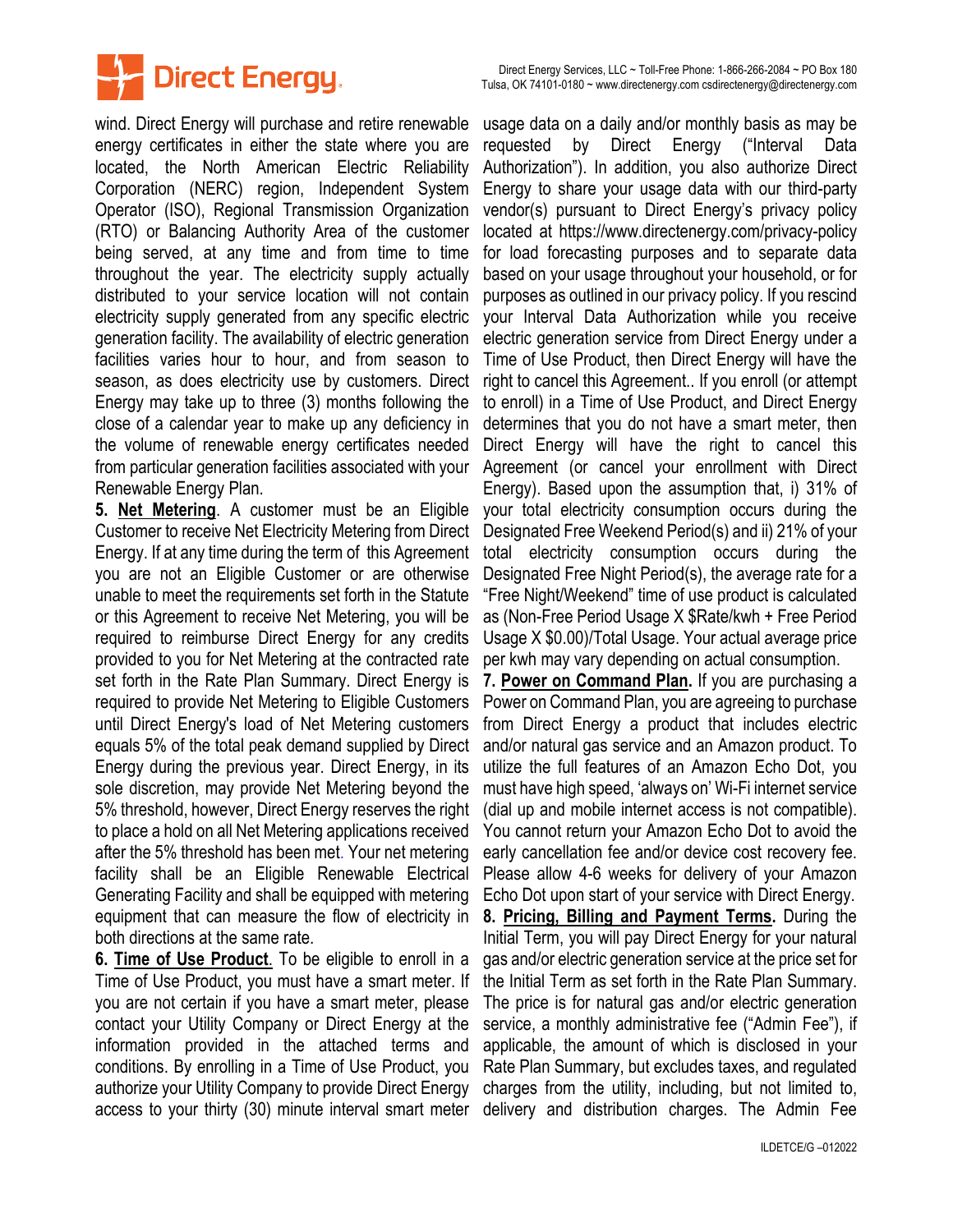

wind. Direct Energy will purchase and retire renewable energy certificates in either the state where you are located, the North American Electric Reliability Corporation (NERC) region, Independent System Operator (ISO), Regional Transmission Organization (RTO) or Balancing Authority Area of the customer being served, at any time and from time to time throughout the year. The electricity supply actually distributed to your service location will not contain electricity supply generated from any specific electric generation facility. The availability of electric generation facilities varies hour to hour, and from season to season, as does electricity use by customers. Direct Energy may take up to three (3) months following the close of a calendar year to make up any deficiency in the volume of renewable energy certificates needed from particular generation facilities associated with your Renewable Energy Plan.

**5. Net Metering**. A customer must be an Eligible Customer to receive Net Electricity Metering from Direct Energy. If at any time during the term of this Agreement you are not an Eligible Customer or are otherwise unable to meet the requirements set forth in the Statute or this Agreement to receive Net Metering, you will be required to reimburse Direct Energy for any credits provided to you for Net Metering at the contracted rate set forth in the Rate Plan Summary. Direct Energy is required to provide Net Metering to Eligible Customers until Direct Energy's load of Net Metering customers equals 5% of the total peak demand supplied by Direct Energy during the previous year. Direct Energy, in its sole discretion, may provide Net Metering beyond the 5% threshold, however, Direct Energy reserves the right to place a hold on all Net Metering applications received after the 5% threshold has been met. Your net metering facility shall be an Eligible Renewable Electrical Generating Facility and shall be equipped with metering equipment that can measure the flow of electricity in both directions at the same rate.

**6. Time of Use Product**. To be eligible to enroll in a Time of Use Product, you must have a smart meter. If you are not certain if you have a smart meter, please contact your Utility Company or Direct Energy at the information provided in the attached terms and conditions. By enrolling in a Time of Use Product, you authorize your Utility Company to provide Direct Energy access to your thirty (30) minute interval smart meter delivery and distribution charges. The Admin Fee

usage data on a daily and/or monthly basis as may be requested by Direct Energy ("Interval Data Authorization"). In addition, you also authorize Direct Energy to share your usage data with our third-party vendor(s) pursuant to Direct Energy's privacy policy located at https://www.directenergy.com/privacy-policy for load forecasting purposes and to separate data based on your usage throughout your household, or for purposes as outlined in our privacy policy. If you rescind your Interval Data Authorization while you receive electric generation service from Direct Energy under a Time of Use Product, then Direct Energy will have the right to cancel this Agreement.. If you enroll (or attempt to enroll) in a Time of Use Product, and Direct Energy determines that you do not have a smart meter, then Direct Energy will have the right to cancel this Agreement (or cancel your enrollment with Direct Energy). Based upon the assumption that, i) 31% of your total electricity consumption occurs during the Designated Free Weekend Period(s) and ii) 21% of your total electricity consumption occurs during the Designated Free Night Period(s), the average rate for a "Free Night/Weekend" time of use product is calculated as (Non-Free Period Usage X \$Rate/kwh + Free Period Usage X \$0.00)/Total Usage. Your actual average price per kwh may vary depending on actual consumption.

**7. Power on Command Plan.** If you are purchasing a Power on Command Plan, you are agreeing to purchase from Direct Energy a product that includes electric and/or natural gas service and an Amazon product. To utilize the full features of an Amazon Echo Dot, you must have high speed, 'always on' Wi-Fi internet service (dial up and mobile internet access is not compatible). You cannot return your Amazon Echo Dot to avoid the early cancellation fee and/or device cost recovery fee. Please allow 4-6 weeks for delivery of your Amazon Echo Dot upon start of your service with Direct Energy. **8. Pricing, Billing and Payment Terms.** During the Initial Term, you will pay Direct Energy for your natural gas and/or electric generation service at the price set for the Initial Term as set forth in the Rate Plan Summary. The price is for natural gas and/or electric generation service, a monthly administrative fee ("Admin Fee"), if applicable, the amount of which is disclosed in your Rate Plan Summary, but excludes taxes, and regulated charges from the utility, including, but not limited to,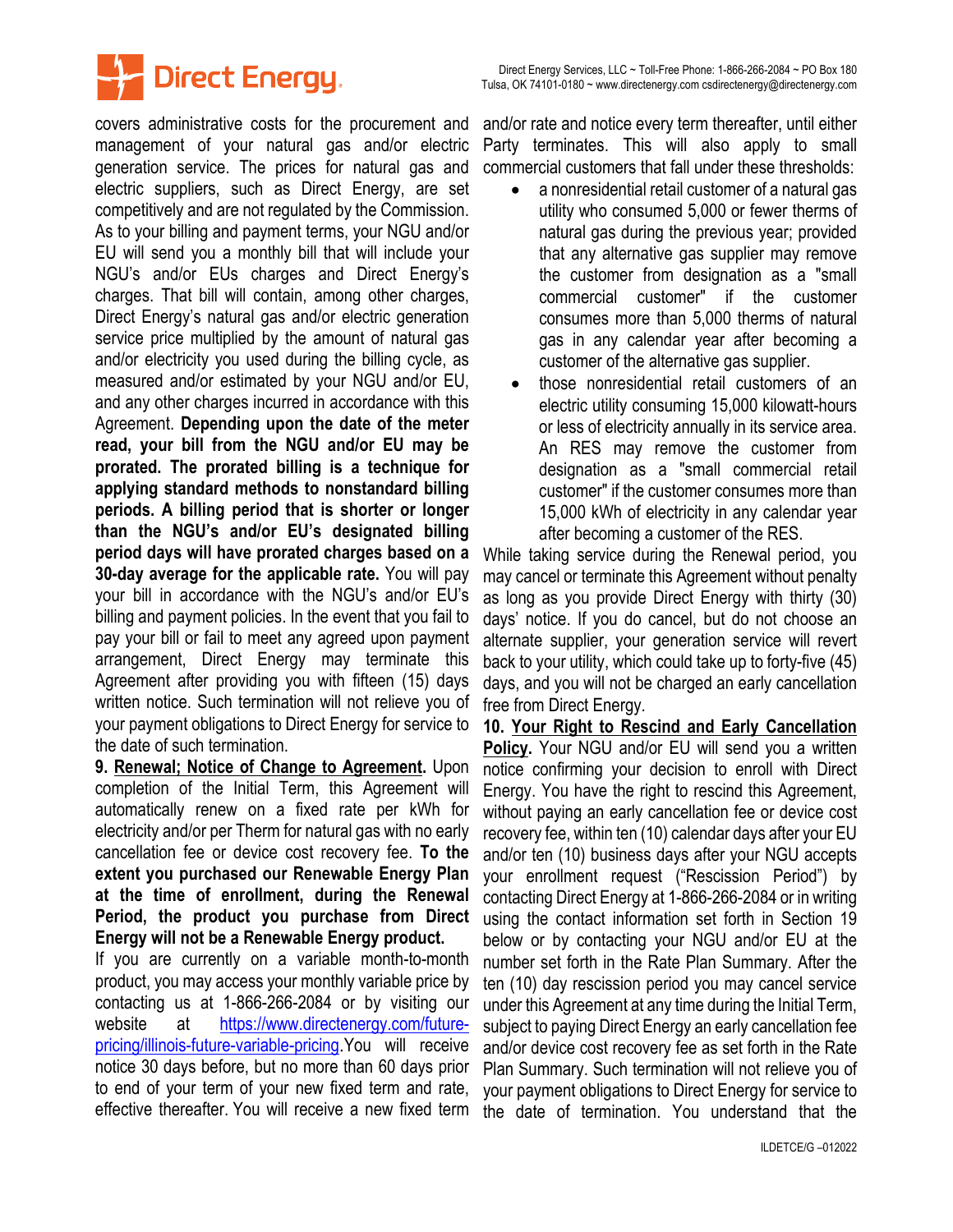



covers administrative costs for the procurement and management of your natural gas and/or electric generation service. The prices for natural gas and electric suppliers, such as Direct Energy, are set competitively and are not regulated by the Commission. As to your billing and payment terms, your NGU and/or EU will send you a monthly bill that will include your NGU's and/or EUs charges and Direct Energy's charges. That bill will contain, among other charges, Direct Energy's natural gas and/or electric generation service price multiplied by the amount of natural gas and/or electricity you used during the billing cycle, as measured and/or estimated by your NGU and/or EU, and any other charges incurred in accordance with this Agreement. **Depending upon the date of the meter read, your bill from the NGU and/or EU may be prorated. The prorated billing is a technique for applying standard methods to nonstandard billing periods. A billing period that is shorter or longer than the NGU's and/or EU's designated billing period days will have prorated charges based on a 30-day average for the applicable rate.** You will pay your bill in accordance with the NGU's and/or EU's billing and payment policies. In the event that you fail to pay your bill or fail to meet any agreed upon payment arrangement, Direct Energy may terminate this Agreement after providing you with fifteen (15) days written notice. Such termination will not relieve you of your payment obligations to Direct Energy for service to the date of such termination.

**9. Renewal; Notice of Change to Agreement.** Upon completion of the Initial Term, this Agreement will automatically renew on a fixed rate per kWh for electricity and/or per Therm for natural gas with no early cancellation fee or device cost recovery fee. **To the extent you purchased our Renewable Energy Plan at the time of enrollment, during the Renewal Period, the product you purchase from Direct Energy will not be a Renewable Energy product.**

If you are currently on a variable month-to-month product, you may access your monthly variable price by contacting us at 1-866-266-2084 or by visiting our website at [https://www.directenergy.com/future](https://www.directenergy.com/future-pricing/illinois-future-variable-pricing)[pricing/illinois-future-variable-pricing](https://www.directenergy.com/future-pricing/illinois-future-variable-pricing).You will receive notice 30 days before, but no more than 60 days prior to end of your term of your new fixed term and rate, effective thereafter. You will receive a new fixed term

and/or rate and notice every term thereafter, until either Party terminates. This will also apply to small commercial customers that fall under these thresholds:

- a nonresidential retail customer of a natural gas utility who consumed 5,000 or fewer therms of natural gas during the previous year; provided that any alternative gas supplier may remove the customer from designation as a "small commercial customer" if the customer consumes more than 5,000 therms of natural gas in any calendar year after becoming a customer of the alternative gas supplier.
- those nonresidential retail customers of an electric utility consuming 15,000 kilowatt-hours or less of electricity annually in its service area. An RES may remove the customer from designation as a "small commercial retail customer" if the customer consumes more than 15,000 kWh of electricity in any calendar year after becoming a customer of the RES.

While taking service during the Renewal period, you may cancel or terminate this Agreement without penalty as long as you provide Direct Energy with thirty (30) days' notice. If you do cancel, but do not choose an alternate supplier, your generation service will revert back to your utility, which could take up to forty-five (45) days, and you will not be charged an early cancellation free from Direct Energy.

**10. Your Right to Rescind and Early Cancellation Policy.** Your NGU and/or EU will send you a written notice confirming your decision to enroll with Direct Energy. You have the right to rescind this Agreement, without paying an early cancellation fee or device cost recovery fee, within ten (10) calendar days after your EU and/or ten (10) business days after your NGU accepts your enrollment request ("Rescission Period") by contacting Direct Energy at 1-866-266-2084 or in writing using the contact information set forth in Section 19 below or by contacting your NGU and/or EU at the number set forth in the Rate Plan Summary. After the ten (10) day rescission period you may cancel service under this Agreement at any time during the Initial Term, subject to paying Direct Energy an early cancellation fee and/or device cost recovery fee as set forth in the Rate Plan Summary. Such termination will not relieve you of your payment obligations to Direct Energy for service to the date of termination. You understand that the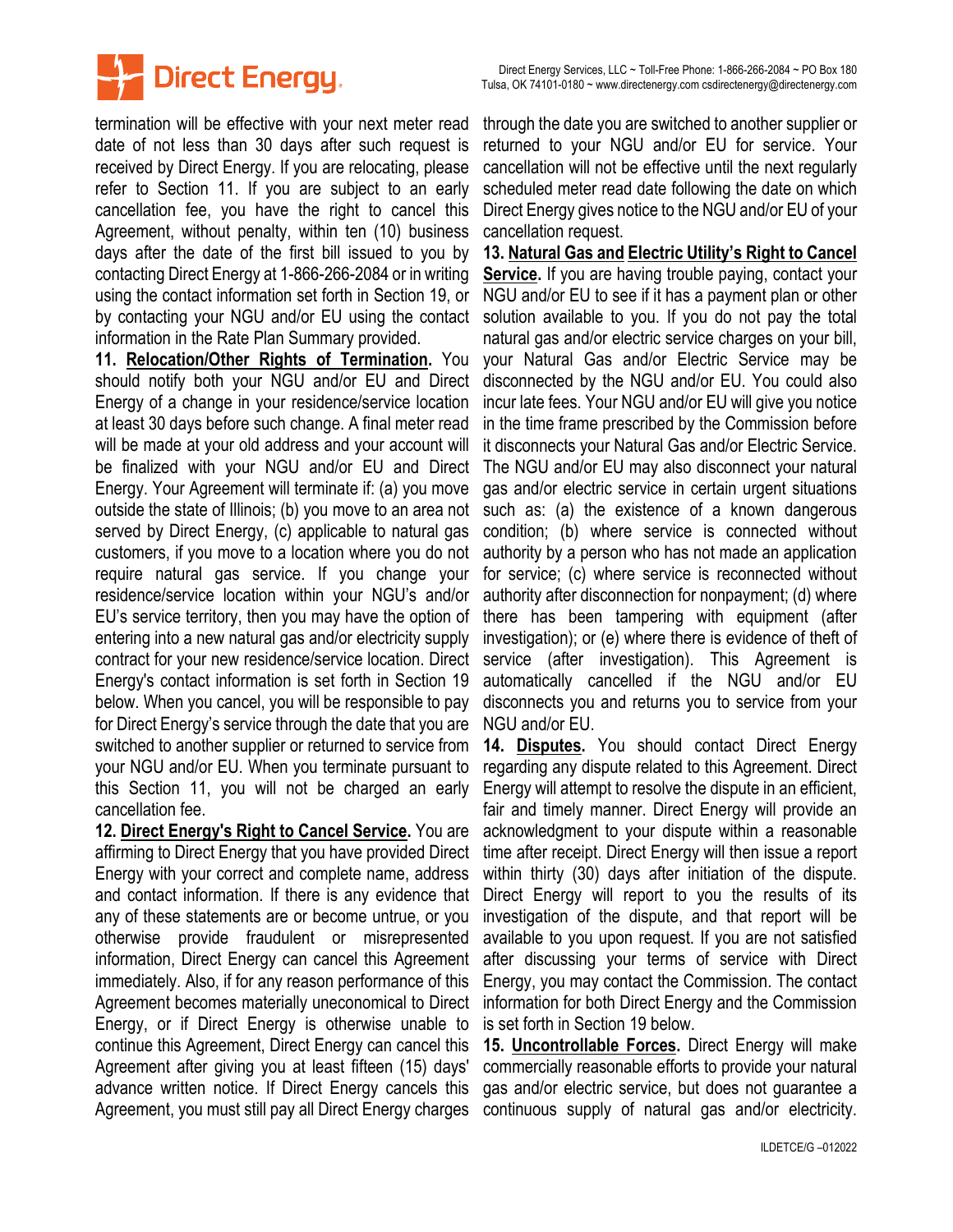

termination will be effective with your next meter read date of not less than 30 days after such request is received by Direct Energy. If you are relocating, please refer to Section 11. If you are subject to an early cancellation fee, you have the right to cancel this Agreement, without penalty, within ten (10) business days after the date of the first bill issued to you by contacting Direct Energy at 1-866-266-2084 or in writing using the contact information set forth in Section 19, or by contacting your NGU and/or EU using the contact information in the Rate Plan Summary provided.

**11. Relocation/Other Rights of Termination.** You should notify both your NGU and/or EU and Direct Energy of a change in your residence/service location at least 30 days before such change. A final meter read will be made at your old address and your account will be finalized with your NGU and/or EU and Direct Energy. Your Agreement will terminate if: (a) you move outside the state of Illinois; (b) you move to an area not served by Direct Energy, (c) applicable to natural gas customers, if you move to a location where you do not require natural gas service. If you change your residence/service location within your NGU's and/or EU's service territory, then you may have the option of entering into a new natural gas and/or electricity supply contract for your new residence/service location. Direct Energy's contact information is set forth in Section 19 below. When you cancel, you will be responsible to pay for Direct Energy's service through the date that you are switched to another supplier or returned to service from your NGU and/or EU. When you terminate pursuant to this Section 11, you will not be charged an early cancellation fee.

**12. Direct Energy's Right to Cancel Service.** You are affirming to Direct Energy that you have provided Direct Energy with your correct and complete name, address and contact information. If there is any evidence that any of these statements are or become untrue, or you otherwise provide fraudulent or misrepresented information, Direct Energy can cancel this Agreement immediately. Also, if for any reason performance of this Agreement becomes materially uneconomical to Direct Energy, or if Direct Energy is otherwise unable to continue this Agreement, Direct Energy can cancel this Agreement after giving you at least fifteen (15) days' advance written notice. If Direct Energy cancels this Agreement, you must still pay all Direct Energy charges

through the date you are switched to another supplier or returned to your NGU and/or EU for service. Your cancellation will not be effective until the next regularly scheduled meter read date following the date on which Direct Energy gives notice to the NGU and/or EU of your cancellation request.

**13. Natural Gas and Electric Utility's Right to Cancel Service.** If you are having trouble paying, contact your NGU and/or EU to see if it has a payment plan or other solution available to you. If you do not pay the total natural gas and/or electric service charges on your bill, your Natural Gas and/or Electric Service may be disconnected by the NGU and/or EU. You could also incur late fees. Your NGU and/or EU will give you notice in the time frame prescribed by the Commission before it disconnects your Natural Gas and/or Electric Service. The NGU and/or EU may also disconnect your natural gas and/or electric service in certain urgent situations such as: (a) the existence of a known dangerous condition; (b) where service is connected without authority by a person who has not made an application for service; (c) where service is reconnected without authority after disconnection for nonpayment; (d) where there has been tampering with equipment (after investigation); or (e) where there is evidence of theft of service (after investigation). This Agreement is automatically cancelled if the NGU and/or EU disconnects you and returns you to service from your NGU and/or EU.

**14. Disputes.** You should contact Direct Energy regarding any dispute related to this Agreement. Direct Energy will attempt to resolve the dispute in an efficient, fair and timely manner. Direct Energy will provide an acknowledgment to your dispute within a reasonable time after receipt. Direct Energy will then issue a report within thirty (30) days after initiation of the dispute. Direct Energy will report to you the results of its investigation of the dispute, and that report will be available to you upon request. If you are not satisfied after discussing your terms of service with Direct Energy, you may contact the Commission. The contact information for both Direct Energy and the Commission is set forth in Section 19 below.

**15. Uncontrollable Forces.** Direct Energy will make commercially reasonable efforts to provide your natural gas and/or electric service, but does not guarantee a continuous supply of natural gas and/or electricity.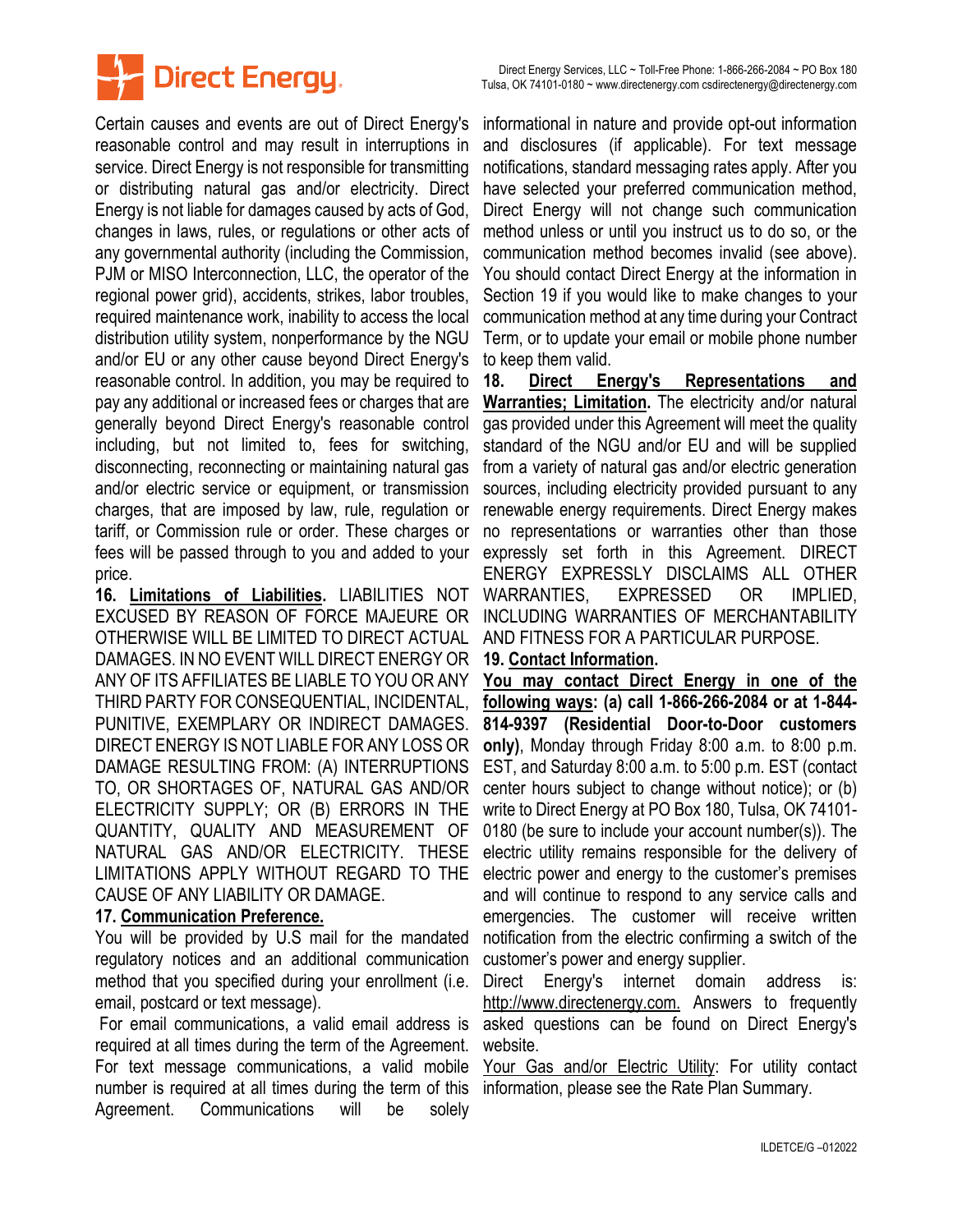

Certain causes and events are out of Direct Energy's reasonable control and may result in interruptions in service. Direct Energy is not responsible for transmitting or distributing natural gas and/or electricity. Direct Energy is not liable for damages caused by acts of God, changes in laws, rules, or regulations or other acts of any governmental authority (including the Commission, PJM or MISO Interconnection, LLC, the operator of the regional power grid), accidents, strikes, labor troubles, required maintenance work, inability to access the local distribution utility system, nonperformance by the NGU and/or EU or any other cause beyond Direct Energy's reasonable control. In addition, you may be required to pay any additional or increased fees or charges that are generally beyond Direct Energy's reasonable control including, but not limited to, fees for switching, disconnecting, reconnecting or maintaining natural gas and/or electric service or equipment, or transmission charges, that are imposed by law, rule, regulation or tariff, or Commission rule or order. These charges or fees will be passed through to you and added to your price.

**16. Limitations of Liabilities.** LIABILITIES NOT EXCUSED BY REASON OF FORCE MAJEURE OR OTHERWISE WILL BE LIMITED TO DIRECT ACTUAL DAMAGES. IN NO EVENT WILL DIRECT ENERGY OR ANY OF ITS AFFILIATES BE LIABLE TO YOU OR ANY THIRD PARTY FOR CONSEQUENTIAL, INCIDENTAL, PUNITIVE, EXEMPLARY OR INDIRECT DAMAGES. DIRECT ENERGY IS NOT LIABLE FOR ANY LOSS OR DAMAGE RESULTING FROM: (A) INTERRUPTIONS TO, OR SHORTAGES OF, NATURAL GAS AND/OR ELECTRICITY SUPPLY; OR (B) ERRORS IN THE QUANTITY, QUALITY AND MEASUREMENT OF NATURAL GAS AND/OR ELECTRICITY. THESE LIMITATIONS APPLY WITHOUT REGARD TO THE CAUSE OF ANY LIABILITY OR DAMAGE.

## **17. Communication Preference.**

You will be provided by U.S mail for the mandated regulatory notices and an additional communication method that you specified during your enrollment (i.e. email, postcard or text message).

For email communications, a valid email address is required at all times during the term of the Agreement. For text message communications, a valid mobile number is required at all times during the term of this Agreement. Communications will be solely

informational in nature and provide opt-out information and disclosures (if applicable). For text message notifications, standard messaging rates apply. After you have selected your preferred communication method, Direct Energy will not change such communication method unless or until you instruct us to do so, or the communication method becomes invalid (see above). You should contact Direct Energy at the information in Section 19 if you would like to make changes to your communication method at any time during your Contract Term, or to update your email or mobile phone number to keep them valid.

**18. Direct Energy's Representations and Warranties; Limitation.** The electricity and/or natural gas provided under this Agreement will meet the quality standard of the NGU and/or EU and will be supplied from a variety of natural gas and/or electric generation sources, including electricity provided pursuant to any renewable energy requirements. Direct Energy makes no representations or warranties other than those expressly set forth in this Agreement. DIRECT ENERGY EXPRESSLY DISCLAIMS ALL OTHER WARRANTIES, EXPRESSED OR IMPLIED, INCLUDING WARRANTIES OF MERCHANTABILITY AND FITNESS FOR A PARTICULAR PURPOSE.

## **19. Contact Information.**

**You may contact Direct Energy in one of the following ways: (a) call 1-866-266-2084 or at 1-844- 814-9397 (Residential Door-to-Door customers only)**, Monday through Friday 8:00 a.m. to 8:00 p.m. EST, and Saturday 8:00 a.m. to 5:00 p.m. EST (contact center hours subject to change without notice); or (b) write to Direct Energy at PO Box 180, Tulsa, OK 74101- 0180 (be sure to include your account number(s)). The electric utility remains responsible for the delivery of electric power and energy to the customer's premises and will continue to respond to any service calls and emergencies. The customer will receive written notification from the electric confirming a switch of the customer's power and energy supplier.

Direct Energy's internet domain address is: http://www.directenergy.com. Answers to frequently asked questions can be found on Direct Energy's website.

Your Gas and/or Electric Utility: For utility contact information, please see the Rate Plan Summary.